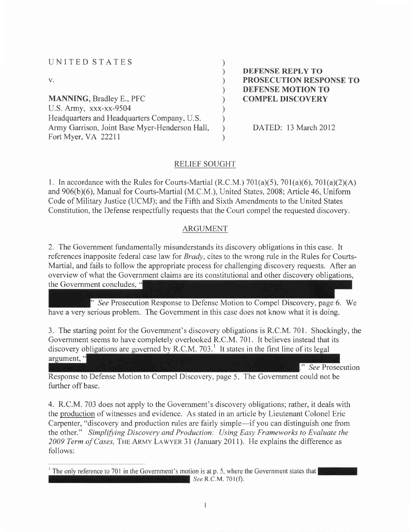| UNITED STATES                                  |
|------------------------------------------------|
| $V_{\star}$                                    |
| <b>MANNING, Bradley E., PFC</b>                |
| U.S. Army, $xxxx-xx-9504$                      |
| Headquarters and Headquarters Company, U.S.    |
| Army Garrison, Joint Base Myer-Henderson Hall, |
| Fort Myer, VA 22211                            |

DEFENSE REPLY TO PROSECUTION RESPONSE TO DEFENSE MOTION TO COMPEL DISCOVERY

DATED: 13 March 2012

#### RELIEF SOUGHT

1. In accordance with the Rules for Courts-Martial (R.C.M.)  $701(a)(5)$ ,  $701(a)(6)$ ,  $701(a)(2)(A)$ and 906(b)(6), Manual for Courts-Martial (M.C.M.), United States, 2008; Article 46, Uniform Code of Military Justice (UCMJ); and the Fifth and Sixth Amendments to the United States Constitution, the Defense respectfully requests that the Court compel the requested discovery.

#### ARGUMENT

2. The Government fundamentally misunderstands its discovery obligations in this case. It references inapposite federal case law for *Brady*, cites to the wrong rule in the Rules for Courts-Martial, and fails to follow the appropriate process for challenging discovery requests. After an overview of what the Government claims are its constitutional and other discovery obligations, the Government concludes,

See Prosecution Response to Defense Motion to Compel Discovery, page 6. We have a very serious problem. The Government in this case does not know what it is doing.

3. The starting point for the Government's discovery obligations is R.C.M. 701. Shockingly, the Government seems to have completely overlooked R.C.M. 701. It believes instead that its discovery obligations are governed by R.C.M. 703.<sup>1</sup> It states in the first line of its legal argument, "

" See Prosecution

Response to Defense Motion to Compel Discovery, page 5. The Government could not be further off base.

4. R.C.M. 703 does not apply to the Government's discovery obligations; rather, it deals with the production of witnesses and evidence. As stated in an article by Lieutenant Colonel Eric Carpenter, "discovery and production rules are fairly simple-if you can distinguish one from the other." Simplifying Discovery and Production: Using Easy Frameworks to Evaluate the 2009 Term of Cases, THE ARMY LAWYER 31 (January 2011). He explains the difference as follows:

<sup>&</sup>lt;sup>1</sup> The only reference to 701 in the Government's motion is at p. 5, where the Government states that  $\blacksquare$  See R.C.M. 701(f).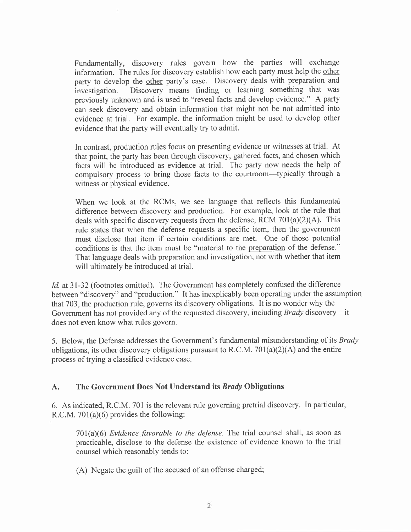Fundamentally, discovery rules govern how the parties will exchange information. The rules for discovery establish how each party must help the other party to develop the other party's case. Discovery deals with preparation and investigation. Discovery means finding or learning something that was Discovery means finding or learning something that was previously unknown and is used to "reveal facts and develop evidence." A party can seek discovery and obtain information that might not be not admitted into evidence at trial. For example, the information might be used to develop other evidence that the party will eventually try to admit.

In contrast, production rules focus on presenting evidence or witnesses at trial. At that point, the party has been through discovery, gathered facts, and chosen which facts will be introduced as evidence at trial. The party now needs the help of compulsory process to bring those facts to the courtroom-typically through <sup>a</sup> witness or physical evidence.

When we look at the RCMs, we see language that reflects this fundamental difference between discovery and production. For example, look at the rule that deals with specific discovery requests from the defense, RCM  $701(a)(2)(A)$ . This rule states that when the defense requests a specific item, then the government must disclose that item if certain conditions are met. One of those potential conditions is that the item must be "material to the preparation of the defense." That language deals with preparation and investigation, not with whether that item will ultimately be introduced at trial.

Id. at 31-32 (footnotes omitted). The Government has completely confused the difference between "discovery" and "production." It has inexplicably been operating under the assumption that703, the production rule, governs its discovery obligations. It is no wonder why the Government has not provided any of the requested discovery, including *Brady* discovery—it does not even know what rules govern.

5. Below, the Defense addresses the Government's fundamental misunderstanding of its *Brady* obligations, its other discovery obligations pursuant to R.C.M.  $701(a)(2)(A)$  and the entire process of trying a classified evidence case.

#### A. The Government Does Not Understand its Brady Obligations

6. As indicated, R.C.M. 701 is the relevant rule governing pretrial discovery. In particular, R.C.M.  $701(a)(6)$  provides the following:

 $701(a)(6)$  Evidence favorable to the defense. The trial counsel shall, as soon as practicable, disclose to the defense the existence of evidence known to the trial counsel which reasonably tends to:

(A) Negate the guilt of the accused of an offense charged;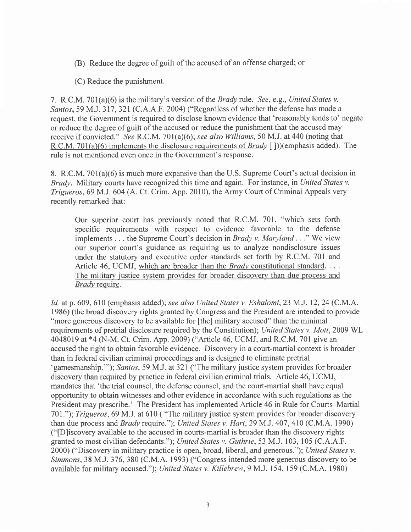- (B) Reduce the degree of guilt of the accused of an offense charged; or
- (C) Reduce the punishment.

7. R.C.M. 701(a)(6) is the military's version of the *Brady* rule. See, e.g., United States v. Santos, 59 M.J. 317, 321 (C.A.A.F. 2004) ("Regardless of whether the defense has made a request, the Government is required to disclose known evidence that 'reasonably tends to' negate or reduce the degree of guilt of the accused or reduce the punishment that the accused may receive if convicted." See R.C.M. 701(a)(6); see also Williams, 50 M.J. at 440 (noting that R.C.M. 701(a)(6) implements the disclosure requirements of *Brady* [ ]))(emphasis added). The rule is not mentioned even once in the Government's response.

8. R.C.M. 701(a)(6) is much more expansive than the U.S. Supreme Court's actual decision in Brady. Military courts have recognized this time and again. For instance, in United States v. Trigueros,69 M.J. 604 (A. Ct. Crim. App. 2010), the Army Court of Criminal Appeals very recently remarked that:

Our superior court has previously noted that R.C.M. 70l, "which sets forth specific requirements with respect to evidence favorable to the defense implements . . . the Supreme Court's decision in Brady v. Maryland . . ." We view our superior court's guidance as requiring us to analyze nondisclosure issues under the statutory and executive order standards set forth by R.C.M. 701 and Article 46, UCMJ, which are broader than the *Brady* constitutional standard. . . . The military iustice system provides for broader discovery than due process and Brady require.

Id. at p. 609, 610 (emphasis added); see also United States v. Eshalomi, 23 M.J. 12, 24 (C.M.A. 1986) (the broad discovery rights granted by Congress and the President are intended to provide "more generous discovery to be available for [the] military accused" than the minimal requirements of pretrial disclosure required by the Constitution); United States v. Mott,2009 WL 4048019 at \*4 (N-M. Ct. Crim. App. 2009) ("Article 46, UCMJ, and R.C.M. 701 give an accused the right to obtain favorable evidence. Discovery in a court-martial context is broader than in federal civilian criminal proceedings and is designed to eliminate pretria. 'gamesmanship.""); Santos, 59 M.J. at 321 ("The military justice system provides for broader discovery than required by practice in federal civilian criminal trials. Article 46, UCMJ, mandates that 'the trial counsel, the defense counsel, and the court-martial shall have equal opportunity to obtain witnesses and other evidence in accordance with such regulations as the President may prescribe.' The President has implemented Article 46 in Rule for Courts-Martial 701."); Trigueros, 69 M.J. at 610 ("The military justice system provides for broader discovery than due process and *Brady* require."); United States v. Hart, 29 M.J. 407, 410 (C.M.A. 1990) ("[D]iscovery available to the accused in courts-martial is broader than the discovery rights granted to most civilian defendants."); United States v. Guthrie,53 M.J. 103, 105 (C.A.A.F. 2000) ("Discovery in military practice is open, broad, liberal, and generous."); United States v. Simmons,38 M.J. 376, 380 (C.M.A. 1993) ("Congress intended more generous discovery to be available for military accused."); United States v. Killebrew, 9 M.J. I54,159 (C.M.A. 1980)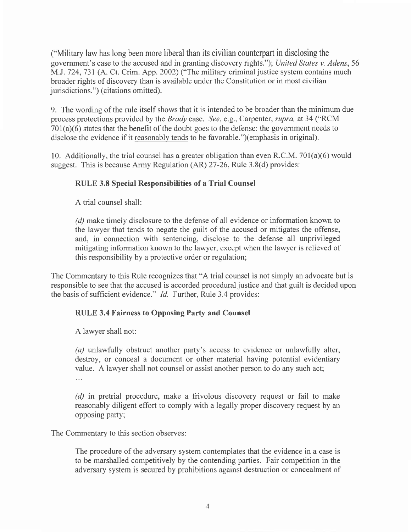("Military law has long been more liberal than its civilian counterpart in disclosing the government's case to the accused and in granting discovery rights."); United States v. Adens, 56 M.J.724,731 (A. Ct. Crim. App.2002) ("The military criminal justice system contains much broader rights of discovery than is available under the Constitution or in most civilian jurisdictions.") (citations omitted).

9. The wording of the rule itself shows that it is intended to be broader than the minimum due process protections provided by the *Brady* case. See, e.g., Carpenter, *supra*, at 34 ("RCM  $701(a)(6)$  states that the benefit of the doubt goes to the defense: the government needs to disclose the evidence if it reasonably tends to be favorable.")(emphasis in original).

10. Additionally, the trial counsel has a greater obligation than even R.C.M. 701(a)(6) would suggest. This is because Army Regulation (AR) 27-26, Rule 3.8(d) provides:

# RULE 3.8 Special Responsibilities of a Trial Counsel

A trial counsel shall:

(d) make timely disclosure to the defense of all evidence or information known to the lawyer that tends to negate the guilt of the accused or mitigates the offense, and, in connection with sentencing, disclose to the defense all unprivileged mitigating information known to the lawyer, except when the lawyer is relieved of this responsibility by a protective order or regulation;

The Commentary to this Rule recognizes that "A trial counsel is not simply an advocate but is responsible to see that the accused is accorded procedural justice and that guilt is decided upon the basis of sufficient evidence." Id. Further, Rule 3.4 provides:

## RULE 3.4 Fairness to Opposing Party and Counsel

A lawyer shall not:

(a) unlawfully obstruct another party's access to evidence or unlawfully alter, destroy, or conceal a document or other material having potential evidentiary value. A lawyer shall not counsel or assist another person to do any such act;  $\cdots$ 

(d) in pretrial procedure, make a frivolous discovery request or fail to make reasonably diligent effort to comply with a legally proper discovery request by an opposing party;

The Commentary to this section observes:

The procedure of the adversary system contemplates that the evidence in a case is to be marshalled competitively by the contending parties. Fair competition in the adversary system is secured by prohibitions against destruction or concealment of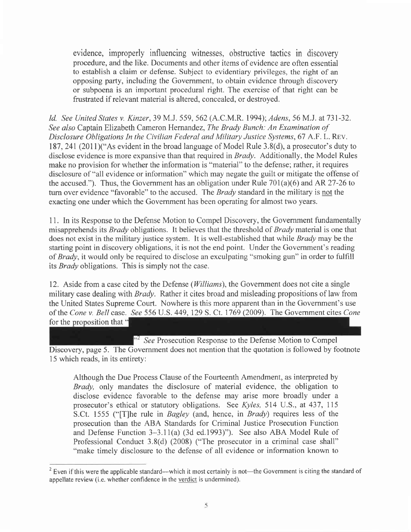evidence, improperly influencing witnesses, obstructive tactics in discovery procedure, and the like. Documents and other items of evidence are often essential to establish a claim or defense. Subject to evidentiary privileges, the right of an opposing party, including the Government, to obtain evidence through discovery or subpoena is an important procedural right. The exercise of that right can be frustrated if relevant material is altered, concealed, or destroyed.

Id. See United States v. Kinzer, 39 M.J. 559, 562 (A.C.M.R. 1994); Adens, 56 M.J. at 731-32. See also Captain Elizabeth Cameron Hernandez, The Brady Bunch: An Examination of Disclosure Obligations In the Civilian Federal and Military Justice Systems,6T A.F. L. Rev. 187,241(201l)("As evident in the broad language of Model Rule 3.8(d), a prosecutor's duty to disclose evidence is more expansive than that required in  $Brady$ . Additionally, the Model Rules make no provision for whether the information is "material" to the defense; rather, it requires disclosure of "all evidence or information" which may negate the guilt or mitigate the offense of the accused."). Thus, the Government has an obligation under Rule 701(a)(6) and AR 27-26 to turn over evidence "favorable" to the accused. The *Brady* standard in the military is not the exacting one under which the Government has been operating for almost two years.

11. In its Response to the Defense Motion to Compel Discovery, the Government fundamentally misapprehends its Brady obligations. It believes that the threshold of Brady material is one that does not exist in the military justice system. It is well-established that while Brady may be the starting point in discovery obligations, it is not the end point. Under the Government's reading of Brady, it would only be required to disclose an exculpating "smoking gun" in order to fulfill its *Brady* obligations. This is simply not the case.

12. Aside from a case cited by the Defense (*Williams*), the Government does not cite a single military case dealing with *Brady*. Rather it cites broad and misleading propositions of law from the United States Supreme Court. Nowhere is this more apparent than in the Government's use of the Cone v. Bell case. See 556 U.S. 449, 129 S. Ct. 1769 (2009). The Government cites Cone for the proposition that "

<sup>352</sup> See Prosecution Response to the Defense Motion to Compel Discovery, page 5. The Government does not mention that the quotation is followed by footnote 15 which reads, in its entirety:

Although the Due Process Clause of the Fourteenth Amendment, as interpreted by Brady, only mandates the disclosure of material evidence, the obligation to disclose evidence favorable to the defense may arise more broadly under <sup>a</sup> prosecutor's ethical or statutory obligations. See Kyles, 514 U.S., at 437, 115 S.Ct. 1555 ("[T]he rule in Bagley (and, hence, in Brady) requires less of the prosecution than the ABA Standards for Criminal Justice Prosecution Function and Defense Function 3-3.11(a) (3d ed.l993)"). See also ABA Model Rule of Professional Conduct 3.8(d) (2008) ("The prosecutor in a criminal case shall" "make timely disclosure to the defense of all evidence or information known to

<sup>&</sup>lt;sup>2</sup> Even if this were the applicable standard—which it most certainly is not—the Government is citing the standard of appellate review (i.e. whether confidence in the verdict is undermined).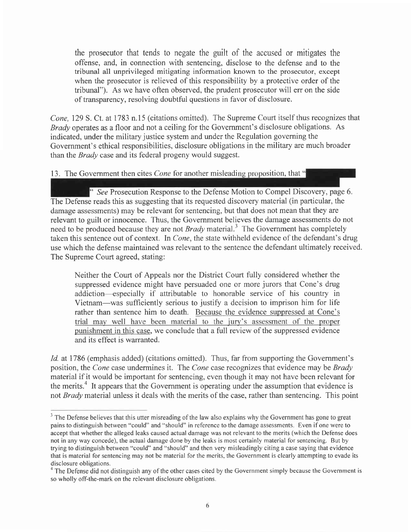the prosecutor that tends to negate the guilt of the accused or mitigates the offense, and, in connection with sentencing, disclose to the defense and to the tribunal all unprivileged mitigating information known to the prosecutor, except when the prosecutor is relieved of this responsibility by a protective order of the tribunal"). As we have often observed, the prudent prosecutor will err on the side of transparency, resolving doubtful questions in favor of disclosure.

Cone, 129 S. Ct. at 1783 n.l5 (citations omitted). The Supreme Court itself thus recognizes that Brady operates as a floor and not a ceiling for the Government's disclosure obligations. As indicated, under the military justice system and under the Regulation governing the Government's ethical responsibilities, disclosure obligations in the military are much broader than the *Brady* case and its federal progeny would suggest.

13. The Government then cites *Cone* for another misleading proposition, that  $\cdot$ 

See Prosecution Response to the Defense Motion to Compel Discovery, page 6. The Defense reads this as suggesting that its requested discovery material (in particular, the damage assessments) may be relevant for sentencing, but that does not mean that they are relevant to guilt or innocence. Thus, the Government believes the damage assessments do not need to be produced because they are not  $Brady$  material.<sup>3</sup> The Government has completely taken this sentence out of context. In Cone, the state withheld evidence of the defendant's drug use which the defense maintained was relevant to the sentence the defendant ultimately received. The Supreme Court agreed, stating:

Neither the Court of Appeals nor the District Court fully considered whether the suppressed evidence might have persuaded one or more jurors that Cone's drug addiction-especially if attributable to honorable service of his country in Vietnam-was sufficiently serious to justify a decision to imprison him for life rather than sentence him to death. Because the evidence suppressed at Cone's trial may well have been material to the jury's assessment of the proper punishment in this case, we conclude that a full review of the suppressed evidence and its effect is warranted.

Id. at 1786 (emphasis added) (citations omitted). Thus, far from supporting the Government's position, the Cone case undermines it. The Cone case recognizes that evidence may be Brady material if it would be important for sentencing, even though it may not have been relevant for the merits.<sup>4</sup> It appears that the Government is operating under the assumption that evidence is not *Brady* material unless it deals with the merits of the case, rather than sentencing. This point

 $3$  The Defense believes that this utter misreading of the law also explains why the Government has gone to great pains to distinguish between "could" and "should" in reference to the damage assessments. Even if one were to accept that whether the alleged leaks caused actual damage was not relevant to the merits (which the Defense does not in any way concede), the actual damage done by the leaks is most certainly material for sentencing. But by trying to distinguish between "could" and "should" and then very misleadingly citing a case saying that evidence that is material for sentencing may not be material for the merits, the Government is clearly attempting to evade its disclosure obligations.

 $<sup>4</sup>$  The Defense did not distinguish any of the other cases cited by the Government simply because the Government is</sup> so wholly off-the-mark on the relevant disclosure obligations.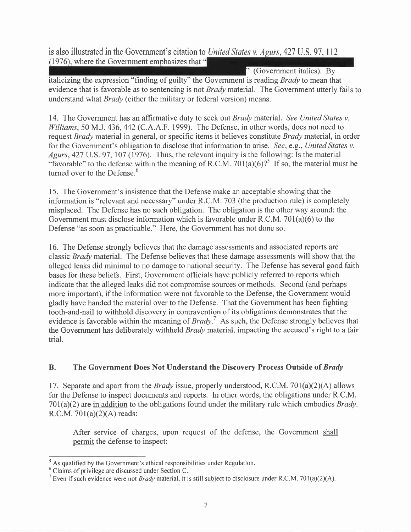is also illustrated in the Government's citation to United States v. Agurs, 427 U.S. 97, 112  $(1976)$ , where the Government emphasizes that  $\ddot{\cdot}$ 

(Government italics). By italicizing the expression "finding of guilty" the Government is reading Brady to mean that evidence that is favorable as to sentencing is not *Brady* material. The Government utterly fails to understand what Brady (either the military or federal version) means.

14. The Government has an affirmative duty to seek out *Brady* material. See United States v. Williams, 50 M.J. 436, 442 (C.A.A.F. 1999). The Defense, in other words, does not need to request *Brady* material in general, or specific items it believes constitute *Brady* material, in order for the Government's obligation to disclose that information to arise. See, e.g., United States v. Agurs, 427 U.S. 97, 107 (1976). Thus, the relevant inquiry is the following: Is the material "favorable" to the defense within the meaning of R.C.M. 701(a)(6)?<sup>5</sup> If so, the material must be turned over to the Defense.<sup>6</sup>

15. The Government's insistence that the Defense make an acceptable showing that the information is "relevant and necessary" under R.C.M. 703 (the production rule) is completely misplaced. The Defense has no such obligation. The obligation is the other way around: the Government must disclose information which is favorable under R.C.M.  $701(a)(6)$  to the Defense "as soon as practicable." Here, the Government has not done so.

16. The Defense strongly believes that the damage assessments and associated reports are classic Brady material. The Defense believes that these damage assessments will show that the alleged leaks did minimal to no damage to national security. The Defense has several good faith bases for these beliefs. First, Government officials have publicly refened to reports which indicate that the alleged leaks did not compromise sources or methods. Second (and perhaps more important), if the information were not favorable to the Defense, the Government would gladly have handed the material over to the Defense. That the Government has been fighting tooth-and-nail to withhold discovery in contravention of its obligations demonstrates that the evidence is favorable within the meaning of  $Brady$ .<sup>7</sup> As such, the Defense strongly believes that the Government has deliberately withheld *Brady* material, impacting the accused's right to a fair trial.

## B. The Government Does Not Understand the Discovery Process Outside of Brady

17. Separate and apart from the *Brady* issue, properly understood, R.C.M. 701(a)(2)(A) allows for the Defense to inspect documents and reports. In other words, the obligations under R.C.M.  $701(a)(2)$  are in addition to the obligations found under the military rule which embodies *Brady*. R.C.M.  $701(a)(2)(A)$  reads:

After service of charges, upon request of the defense, the Government shall permit the defense to inspect:

 $<sup>5</sup>$  As qualified by the Government's ethical responsibilities under Regulation.</sup>

<sup>&</sup>lt;sup>6</sup> Claims of privilege are discussed under Section C.

<sup>&</sup>lt;sup>7</sup> Even if such evidence were not *Brady* material, it is still subject to disclosure under R.C.M. 701(a)(2)(A).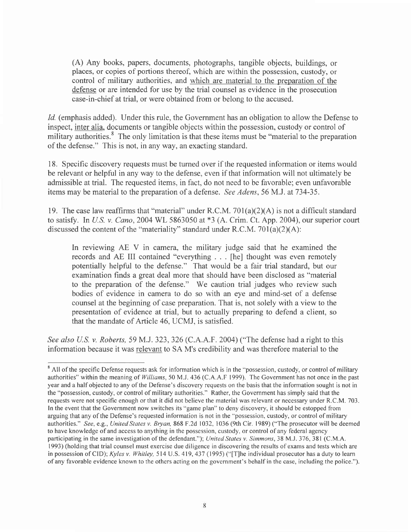(A) Any books, papers, documents, photographs, tangible objects, buildings, or places, or copies of portions thereof, which are within the possession, custody, or control of military authorities, and which are material to the preparation of the defense or are intended for use by the trial counsel as evidence in the prosecution case-in-chief at trial, or were obtained from or belong to the accused.

Id. (emphasis added). Under this rule, the Government has an obligation to allow the Defense to inspect, inter alia, documents or tangible objects within the possession, custody or control of military authorities.<sup>8</sup> The only limitation is that these items must be "material to the preparation" of the defense." This is not, in any way, an exacting standard.

18. Specific discovery requests must be tumed over if the requested information or items would be relevant or helpful in any way to the defense, even if that information will not ultimately be admissible at trial. The requested items, in fact, do not need to be favorable; even unfavorable items may be material to the preparation of a defense. See Adens, 56 M.J. at 734-35.

19. The case law reaffirms that "material" under R.C.M. 701(a)(2)(A) is not a difficult standard to satisfy. In U.S. v. Cano, 2004 WL 5863050 at \*3 (A. Crim. Ct. App. 2004), our superior court discussed the content of the "materiality" standard under R.C.M. 701(a)(2)(A):

In reviewing AE V in camera, the military judge said that he examined the records and AE III contained "everything . . . [he] thought was even remotely potentially helpful to the defense." That would be a fair trial standard, but our examination finds a great deal more that should have been disclosed as "material to the preparation of the defense." We caution trial judges who review such bodies of evidence in camera to do so with an eye and mind-set of a defense counsel at the beginning of case preparation. That is, not solely with a view to the presentation of evidence at trial, but to actually preparing to defend a client, so that the mandate of Article 46, UCMJ, is satisfied.

See also U.S. v. Roberts, 59 M.J. 323, 326 (C.A.A.F. 2004) ("The defense had a right to this information because it was relevant to SA M's credibilitv and was therefore material to the

<sup>&</sup>lt;sup>8</sup> All of the specific Defense requests ask for information which is in the "possession, custody, or control of military authorities" within the meaning of Williams, 50 M.J. 436 (C.A.A.F 1999). The Government has not once in the past year and a half objected to any of the Defense's discovery requests on the basis that the information sought is not in the "possession, custody, or control of military authorities." Rather, the Government has simply said that the requests were not specific enough or that it did not believe the material was relevant or necessary under R.C.M. 703. In the event that the Covernment now switches its "game plan" to deny discovery, it should be estopped from arguing that any of the Defense's requested information is not in the "possession, custody, or control of military authorities." See, e.g., United States v. Bryan, 868 F.2d 1032, 1036 (9th Cir. | 989) ("The prosecutor will be deemed to have knowledge of and access to anything in the possession, custody, or control of any federal agency participating in the same investigation of the defendant."); United States v. Simmons, 38 M.J. 376, 381 (C.M.A. 1993) (holding that trial counsel must exercise due diligence in discovering the results of exams and tests which are in possession of CID); Kyles v. Whitley, 514 U.S. 419, 437 (1995) ("[T]he individual prosecutor has a duty to learn of any favorable evidence known to the others acting on the government's behalf in the case, including the police.").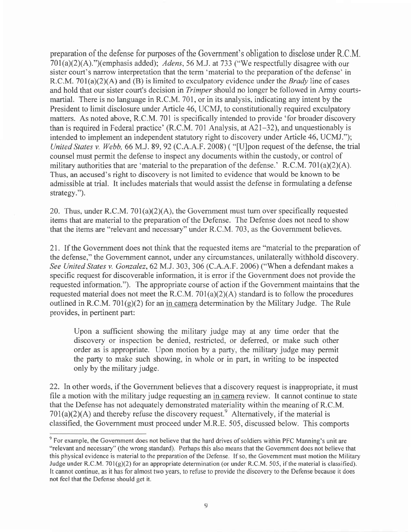preparation of the defense for purposes of the Government's obligation to disclose under R.C.M.  $701(a)(2)(A)$ .")(emphasis added); Adens, 56 M.J. at 733 ("We respectfully disagree with our sister court's narrow interpretation that the term 'material to the preparation of the defense' in R.C.M. 701(a)(2)(A) and (B) is limited to exculpatory evidence under the *Brady* line of cases and hold that our sister court's decision in *Trimper* should no longer be followed in Army courtsmartial. There is no language in R.C.M. 701, or in its analysis, indicating any intent by the President to limit disclosure under Article 46, UCMJ, to constitutionally required exculpatory matters. As noted above, R.C.M. 701 is specifically intended to provide 'for broader discovery than is required in Federal practice' (R.C.M. 701 Analysis, at 42l-32), and unquestionably is intended to implement an independent statutory right to discovery under Article 46, UCMJ."); United States v. Webb, 66 M.J. 89, 92 (C.A.A.F. 2008) ( "[U]pon request of the defense, the trial counsel must permit the defense to inspect any documents within the custody, or control of military authorities that are 'material to the preparation of the defense.' R.C.M. 701(a)(2)(A). Thus, an accused's right to discovery is not limited to evidence that would be known to be admissible at trial. It includes materials that would assist the defense in formulating a defense strategy.").

20. Thus, under R.C.M. 7Ol(a)(2)(A), the Government must tum over specifically requested items that are material to the preparation of the Defense. The Defense does not need to show that the items are "relevant and necessary" under R.C.M. 703, as the Government believes.

2l . If the Government does not think that the requested items are "material to the preparation of the defense," the Government cannot, under any circumstances, unilaterally withhold discovery. See United States v. Gonzalez, 62 M.J. 303, 306 (C.A.A.F. 2006) ("When a defendant makes a specific request for discoverable information, it is error if the Government does not provide the requested information."). The appropriate course of action if the Government maintains that the requested material does not meet the R.C.M.  $701(a)(2)(A)$  standard is to follow the procedures outlined in R.C.M. 701 $(g)(2)$  for an in camera determination by the Military Judge. The Rule provides, in pertinent part:

Upon a sufficient showing the military judge may at any time order that the discovery or inspection be denied, restricted, or deferred, or make such other order as is appropriate. Upon motion by a party, the military judge may permit the party to make such showing, in whole or in part, in writing to be inspected only by the military judge.

22. In other words, if the Government believes that a discovery request is inappropriate, it must file a motion with the military judge requesting an in camera review. It cannot continue to state that the Defense has not adequately demonstrated materiality within the meaning of R.C.M.  $701(a)(2)(A)$  and thereby refuse the discovery request.<sup>9</sup> Alternatively, if the material is classified, the Government must proceed under M.R.E. 505, discussed below. This comports

 $\degree$  For example, the Government does not believe that the hard drives of soldiers within PFC Manning's unit are "relevant and necessary" (the wrong standard). Perhaps this also means that the Government does not believe that this physical evidence is material to the preparation of the Defense. lf so, the Govemment must motion the Military Judge under R.C.M. 701(g)(2) for an appropriate determination (or under R.C.M. 505, if the material is classified). It cannot continue, as it has for almost two years, to refuse to provide the discovery to the Defense because it does not feel that the Defense should get it.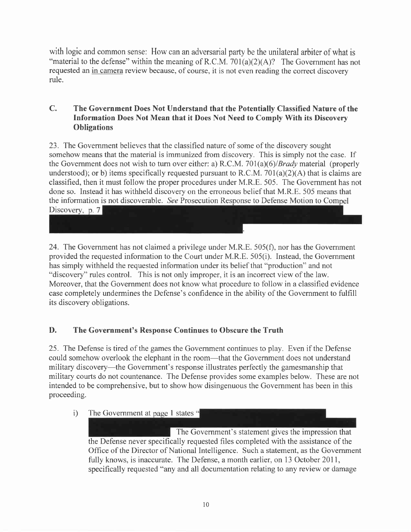with logic and common sense: How can an adversarial party be the unilateral arbiter of what is "material to the defense" within the meaning of R.C.M. 701(a)(2)(A)? The Government has not requested an in camera review because, of course, it is not even reading the correct discovery rule.

#### C. The Government Does Not Understand that the Potentially Classified Nature of the Information Does Not Mean that it Does Not Need to Comply With its Discovery **Obligations**

23. The Government believes that the classified nature of some of the discovery sought somehow means that the material is immunized from discovery. This is simply not the case. If the Government does not wish to turn over either: a) R.C.M. 701(a)(6)/*Brady* material (properly understood); or b) items specifically requested pursuant to R.C.M.  $701(a)(2)(A)$  that is claims are classified, then it must follow the proper procedures under M.R.E. 505. The Government has not done so. Instead it has withheld discovery on the erroneous belief that M.R.E. 505 means that the information is not discoverable. See Prosecution Response to Defense Motion to Compel Discovery, p.  $7$ 

24. The Government has not claimed a privilege under M.R.E.  $505(f)$ , nor has the Government provided the requested information to the Court under M.R.E. 505(i). Instead, the Government has simply withheld the requested information under its belief that "production" and not "discovery" rules control. This is not only improper, it is an incorrect view of the law. Moreover, that the Government does not know what procedure to follow in a classified evidence case completely undermines the Defense's confidence in the ability of the Government to fulfill its discovery obligations.

# D. The Government's Response Continues to Obscure the Truth

25. The Defense is tired of the games the Government continues to play. Even if the Defense could somehow overlook the elephant in the room-that the Government does not understand military discovery—the Government's response illustrates perfectly the gamesmanship that military courts do not countenance. The Defense provides some examples below. These are not intended to be comprehensive, but to show how disingenuous the Government has been in this proceeding.

i) The Government at page 1 states "

The Government's statement gives the impression that the Defense never specifically requested files completed with the assistance of the Office of the Director of National Intelligence. Such a statement, as the Government fully knows, is inaccurate. The Defense, a month earlier, on 13 October 2011, specifically requested "any and all documentation relating to any review or damage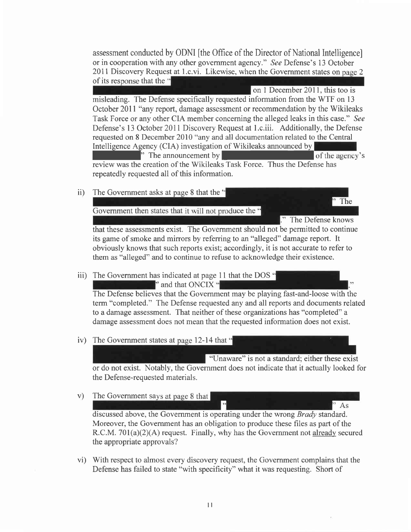assessment conducted by ODNI [the Office of the Director of National Intelligence] or in cooperation with any other government agency." See Defense's 13 October 2011 Discovery Request at 1.c.vi. Likewise, when the Government states on page 2 of its response that the "

on I December 201l. this too is misleading. The Defense specifically requested information from the WTF on l3 October 20ll "any report, damage assessment or recommendation by the Wikileaks Task Force or any other CIA member concerning the alleged leaks in this case." See Defense's l3 October 2011 Discovery Request at l.c.iii. Additionally, the Defense requested on 8 December 2010 "any and all documentation related to the Centra^ Intelligence Agency (CIA) investigation of Wikileaks announced by <sup>1</sup> The announcement by **SECONDITY** The agency's

review was the creation of the Wikileaks Task Force. Thus the Defense has repeatedly requested all of this information.

ii) The Government asks at page 8 that the  $\ddot{\bullet}$ 

Government then states that it will not produce the "

." The Defense knows

The

that these assessments exist. The Govemment should not be permitted to continue its game of smoke and mirrors by referring to an "alleged" damage report. It obviously knows that such reports exist; accordingly, it is not accurate to refer to them as "alleged" and to continue to refuse to acknowledge their existence.

iii) The Government has indicated at page 11 that the DOS "

 $\blacksquare$ " and that ONCIX"

The Defense believes that the Government may be playing fast-and-loose with the term "completed." The Defense requested any and all reports and documents related to a damage assessment. That neither of these organizations has "completed" a damage assessment does not mean that the requested information does not exist.

iv) The Government states at page 12-14 that "

"(Jnaware" is not a standard: either these exist or do not exist. Notably, the Government does not indicate that it actually looked for the Defense-requested materials.

v) The Government sa $As$ 

discussed above, the Government is operating under the wrong Brady standard. Moreover, the Government has an obligation to produce these files as part of the R.C.M. 701(a)(2)(A) request. Finally, why has the Government not already secured the appropriate approvals?

vi) With respect to almost every discovery request, the Government complains that the Defense has failed to state "with specificity" what it was requesting. Short of